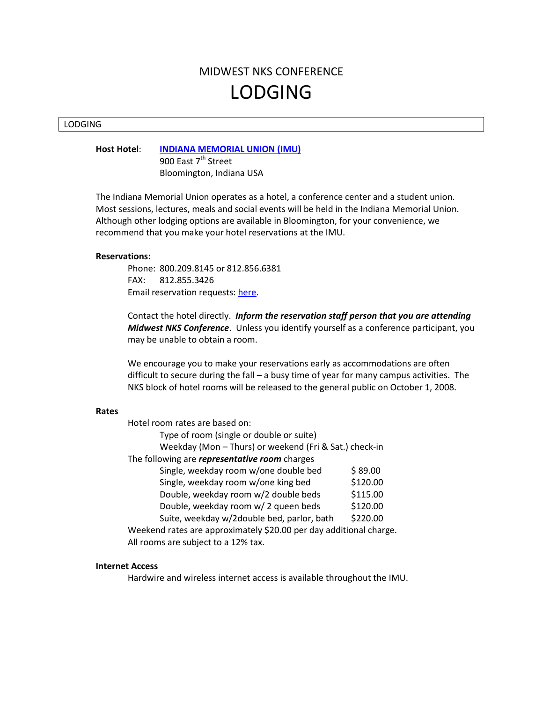# MIDWEST NKS CONFERENCE LODGING

#### LODGING

**Host Hotel**: **[INDIANA MEMORIAL UNION \(IMU\)](http://www.imu.indiana.edu/index.shtml)**

900 East 7<sup>th</sup> Street Bloomington, Indiana USA

The Indiana Memorial Union operates as a hotel, a conference center and a student union. Most sessions, lectures, meals and social events will be held in the Indiana Memorial Union. Although other lodging options are available in Bloomington, for your convenience, we recommend that you make your hotel reservations at the IMU.

### **Reservations:**

Phone: 800.209.8145 or 812.856.6381 FAX: 812.855.3426 Email reservation requests: [here.](http://imu.indiana.edu/hotel/index.shtml)

Contact the hotel directly. *Inform the reservation staff person that you are attending Midwest NKS Conference*. Unless you identify yourself as a conference participant, you may be unable to obtain a room.

We encourage you to make your reservations early as accommodations are often difficult to secure during the fall – a busy time of year for many campus activities. The NKS block of hotel rooms will be released to the general public on October 1, 2008.

#### **Rates**

| Hotel room rates are based on:                                     |          |
|--------------------------------------------------------------------|----------|
| Type of room (single or double or suite)                           |          |
| Weekday (Mon - Thurs) or weekend (Fri & Sat.) check-in             |          |
| The following are representative room charges                      |          |
| Single, weekday room w/one double bed                              | \$89.00  |
| Single, weekday room w/one king bed                                | \$120.00 |
| Double, weekday room w/2 double beds                               | \$115.00 |
| Double, weekday room w/ 2 queen beds                               | \$120.00 |
| Suite, weekday w/2double bed, parlor, bath                         | \$220.00 |
| Weekend rates are approximately \$20.00 per day additional charge. |          |
| All rooms are subject to a 12% tax.                                |          |

## **Internet Access**

Hardwire and wireless internet access is available throughout the IMU.